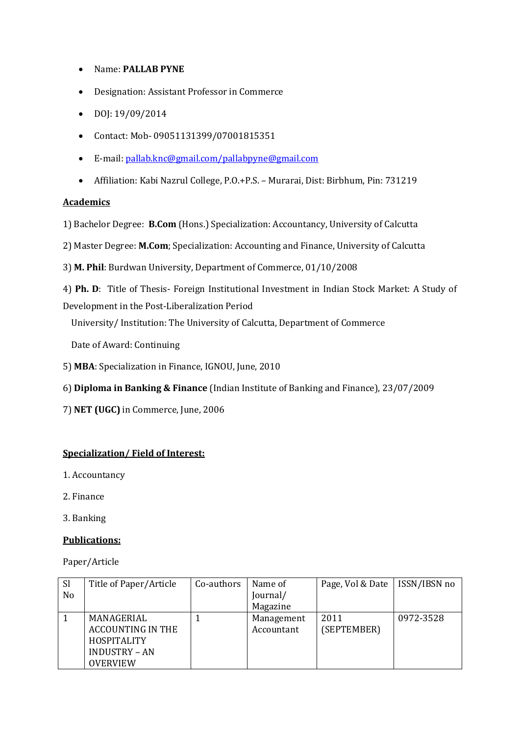- Name: **PALLAB PYNE**
- Designation: Assistant Professor in Commerce
- $\bullet$  DOJ: 19/09/2014
- Contact: Mob- 09051131399/07001815351
- E-mail: [pallab.knc@gmail.com/pallabpyne@gmail.com](mailto:pallab.knc@gmail.com/pallabpyne@gmail.com)
- Affiliation: Kabi Nazrul College, P.O.+P.S. Murarai, Dist: Birbhum, Pin: 731219

### **Academics**

1) Bachelor Degree: **B.Com** (Hons.) Specialization: Accountancy, University of Calcutta

2) Master Degree: **M.Com**; Specialization: Accounting and Finance, University of Calcutta

3) **M. Phil**: Burdwan University, Department of Commerce, 01/10/2008

4) **Ph. D**: Title of Thesis- Foreign Institutional Investment in Indian Stock Market: A Study of Development in the Post-Liberalization Period

University/ Institution: The University of Calcutta, Department of Commerce

Date of Award: Continuing

- 5) **MBA**: Specialization in Finance, IGNOU, June, 2010
- 6) **Diploma in Banking & Finance** (Indian Institute of Banking and Finance), 23/07/2009
- 7) **NET (UGC)** in Commerce, June, 2006

### **Specialization/ Field of Interest:**

- 1. Accountancy
- 2. Finance
- 3. Banking

### **Publications:**

Paper/Article

| <sub>Sl</sub>  | Title of Paper/Article   | Co-authors | Name of    | Page, Vol & Date | ISSN/IBSN no |
|----------------|--------------------------|------------|------------|------------------|--------------|
| N <sub>o</sub> |                          |            | Journal/   |                  |              |
|                |                          |            | Magazine   |                  |              |
|                | MANAGERIAL               |            | Management | 2011             | 0972-3528    |
|                | <b>ACCOUNTING IN THE</b> |            | Accountant | (SEPTEMBER)      |              |
|                | HOSPITALITY              |            |            |                  |              |
|                | <b>INDUSTRY - AN</b>     |            |            |                  |              |
|                | <b>OVERVIEW</b>          |            |            |                  |              |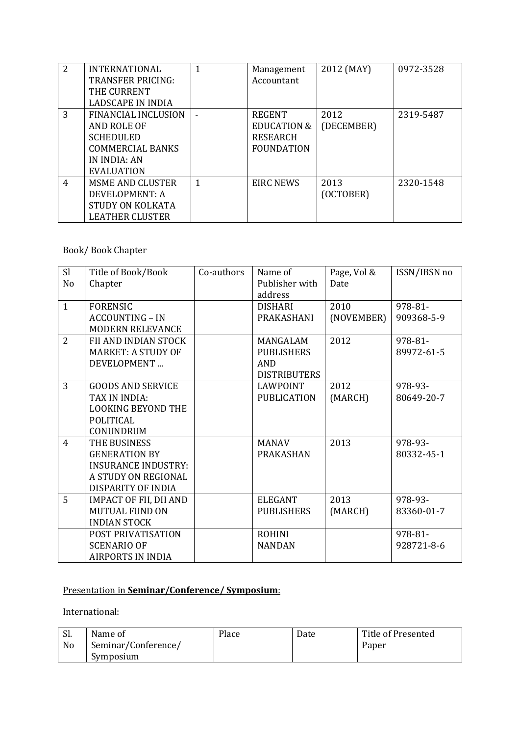| 2 | <b>INTERNATIONAL</b>       | 1 | Management             | 2012 (MAY) | 0972-3528 |
|---|----------------------------|---|------------------------|------------|-----------|
|   | <b>TRANSFER PRICING:</b>   |   | Accountant             |            |           |
|   | THE CURRENT                |   |                        |            |           |
|   | LADSCAPE IN INDIA          |   |                        |            |           |
| 3 | <b>FINANCIAL INCLUSION</b> |   | <b>REGENT</b>          | 2012       | 2319-5487 |
|   | AND ROLE OF                |   | <b>EDUCATION &amp;</b> | (DECEMBER) |           |
|   | <b>SCHEDULED</b>           |   | <b>RESEARCH</b>        |            |           |
|   | <b>COMMERCIAL BANKS</b>    |   | <b>FOUNDATION</b>      |            |           |
|   | IN INDIA: AN               |   |                        |            |           |
|   | <b>EVALUATION</b>          |   |                        |            |           |
| 4 | <b>MSME AND CLUSTER</b>    | 1 | <b>EIRC NEWS</b>       | 2013       | 2320-1548 |
|   | DEVELOPMENT: A             |   |                        | (OCTOBER)  |           |
|   | STUDY ON KOLKATA           |   |                        |            |           |
|   | LEATHER CLUSTER            |   |                        |            |           |

# Book/ Book Chapter

| S <sub>l</sub><br>N <sub>o</sub> | Title of Book/Book<br>Chapter | Co-authors | Name of<br>Publisher with | Page, Vol &<br>Date | ISSN/IBSN no |
|----------------------------------|-------------------------------|------------|---------------------------|---------------------|--------------|
|                                  |                               |            | address                   |                     |              |
| $\mathbf{1}$                     | <b>FORENSIC</b>               |            | <b>DISHARI</b>            | 2010                | 978-81-      |
|                                  | <b>ACCOUNTING - IN</b>        |            | PRAKASHANI                | (NOVEMBER)          | 909368-5-9   |
|                                  | <b>MODERN RELEVANCE</b>       |            |                           |                     |              |
| $\overline{2}$                   | FII AND INDIAN STOCK          |            | MANGALAM                  | 2012                | 978-81-      |
|                                  | <b>MARKET: A STUDY OF</b>     |            | <b>PUBLISHERS</b>         |                     | 89972-61-5   |
|                                  | DEVELOPMENT                   |            | <b>AND</b>                |                     |              |
|                                  |                               |            | <b>DISTRIBUTERS</b>       |                     |              |
| 3                                | GOODS AND SERVICE             |            | LAWPOINT                  | 2012                | 978-93-      |
|                                  | TAX IN INDIA:                 |            | <b>PUBLICATION</b>        | (MARCH)             | 80649-20-7   |
|                                  | <b>LOOKING BEYOND THE</b>     |            |                           |                     |              |
|                                  | <b>POLITICAL</b>              |            |                           |                     |              |
|                                  | CONUNDRUM                     |            |                           |                     |              |
| $\overline{4}$                   | THE BUSINESS                  |            | <b>MANAV</b>              | 2013                | 978-93-      |
|                                  | <b>GENERATION BY</b>          |            | <b>PRAKASHAN</b>          |                     | 80332-45-1   |
|                                  | <b>INSURANCE INDUSTRY:</b>    |            |                           |                     |              |
|                                  | A STUDY ON REGIONAL           |            |                           |                     |              |
|                                  | DISPARITY OF INDIA            |            |                           |                     |              |
| 5                                | <b>IMPACT OF FII, DII AND</b> |            | <b>ELEGANT</b>            | 2013                | 978-93-      |
|                                  | <b>MUTUAL FUND ON</b>         |            | <b>PUBLISHERS</b>         | (MARCH)             | 83360-01-7   |
|                                  | <b>INDIAN STOCK</b>           |            |                           |                     |              |
|                                  | POST PRIVATISATION            |            | <b>ROHINI</b>             |                     | 978-81-      |
|                                  | <b>SCENARIO OF</b>            |            | <b>NANDAN</b>             |                     | 928721-8-6   |
|                                  | <b>AIRPORTS IN INDIA</b>      |            |                           |                     |              |

# Presentation in **Seminar/Conference/ Symposium**:

International:

| $\mathbf{C}$<br>. اد | Name of             | Place | Date | Title of Presented |
|----------------------|---------------------|-------|------|--------------------|
| No                   | Seminar/Conference/ |       |      | Paper              |
|                      | Symposium           |       |      |                    |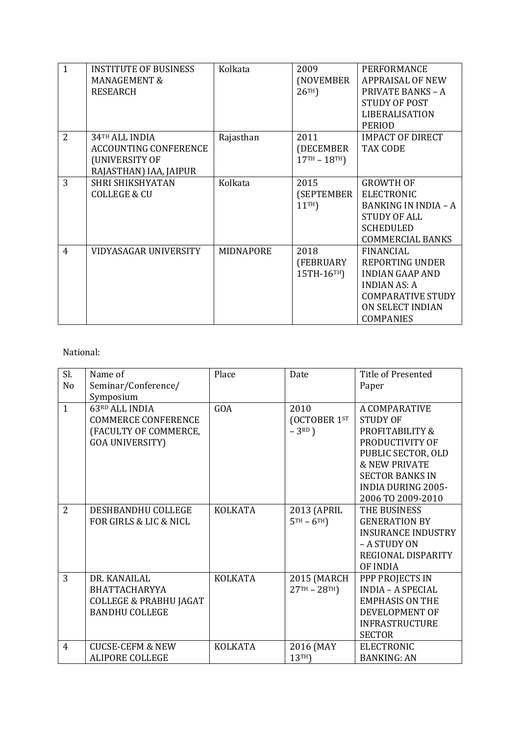| $\mathbf{1}$   | <b>INSTITUTE OF BUSINESS</b> | Kolkata          | 2009             | PERFORMANCE                 |
|----------------|------------------------------|------------------|------------------|-----------------------------|
|                | <b>MANAGEMENT &amp;</b>      |                  | (NOVEMBER        | <b>APPRAISAL OF NEW</b>     |
|                | <b>RESEARCH</b>              |                  | 26 <sup>TH</sup> | <b>PRIVATE BANKS - A</b>    |
|                |                              |                  |                  | <b>STUDY OF POST</b>        |
|                |                              |                  |                  | LIBERALISATION              |
|                |                              |                  |                  | <b>PERIOD</b>               |
| 2              | 34 <sup>TH</sup> ALL INDIA   | Rajasthan        | 2011             | <b>IMPACT OF DIRECT</b>     |
|                | <b>ACCOUNTING CONFERENCE</b> |                  | (DECEMBER        | TAX CODE                    |
|                | (UNIVERSITY OF               |                  | $17TH - 18TH$    |                             |
|                | RAJASTHAN) IAA, JAIPUR       |                  |                  |                             |
| 3              | SHRI SHIKSHYATAN             | Kolkata          | 2015             | <b>GROWTH OF</b>            |
|                | <b>COLLEGE &amp; CU</b>      |                  | (SEPTEMBER       | <b>ELECTRONIC</b>           |
|                |                              |                  | 11 <sup>TH</sup> | <b>BANKING IN INDIA - A</b> |
|                |                              |                  |                  | <b>STUDY OF ALL</b>         |
|                |                              |                  |                  | <b>SCHEDULED</b>            |
|                |                              |                  |                  | <b>COMMERCIAL BANKS</b>     |
| $\overline{4}$ | <b>VIDYASAGAR UNIVERSITY</b> | <b>MIDNAPORE</b> | 2018             | <b>FINANCIAL</b>            |
|                |                              |                  | (FEBRUARY        | <b>REPORTING UNDER</b>      |
|                |                              |                  | 15TH-16TH)       | <b>INDIAN GAAP AND</b>      |
|                |                              |                  |                  | <b>INDIAN AS: A</b>         |
|                |                              |                  |                  | <b>COMPARATIVE STUDY</b>    |
|                |                              |                  |                  | ON SELECT INDIAN            |
|                |                              |                  |                  | <b>COMPANIES</b>            |

### National:

| Sl.            | Name of                           | Place          | Date          | <b>Title of Presented</b> |
|----------------|-----------------------------------|----------------|---------------|---------------------------|
| No             | Seminar/Conference/               |                |               | Paper                     |
|                | Symposium                         |                |               |                           |
| $\mathbf{1}$   | 63RD ALL INDIA                    | GOA            | 2010          | A COMPARATIVE             |
|                | <b>COMMERCE CONFERENCE</b>        |                | (OCTOBER 1ST  | <b>STUDY OF</b>           |
|                | (FACULTY OF COMMERCE,             |                | $-3RD$ )      | PROFITABILITY &           |
|                | <b>GOA UNIVERSITY)</b>            |                |               | PRODUCTIVITY OF           |
|                |                                   |                |               | PUBLIC SECTOR, OLD        |
|                |                                   |                |               | <b>&amp; NEW PRIVATE</b>  |
|                |                                   |                |               | <b>SECTOR BANKS IN</b>    |
|                |                                   |                |               | <b>INDIA DURING 2005-</b> |
|                |                                   |                |               | 2006 TO 2009-2010         |
| $\overline{2}$ | DESHBANDHU COLLEGE                | <b>KOLKATA</b> | 2013 (APRIL   | THE BUSINESS              |
|                | FOR GIRLS & LIC & NICL            |                | $5TH - 6TH$   | <b>GENERATION BY</b>      |
|                |                                   |                |               | <b>INSURANCE INDUSTRY</b> |
|                |                                   |                |               | - A STUDY ON              |
|                |                                   |                |               | REGIONAL DISPARITY        |
|                |                                   |                |               | OF INDIA                  |
| 3              | DR. KANAILAL                      | <b>KOLKATA</b> | 2015 (MARCH   | PPP PROJECTS IN           |
|                | BHATTACHARYYA                     |                | $27TH - 28TH$ | <b>INDIA - A SPECIAL</b>  |
|                | <b>COLLEGE &amp; PRABHU JAGAT</b> |                |               | <b>EMPHASIS ON THE</b>    |
|                | <b>BANDHU COLLEGE</b>             |                |               | DEVELOPMENT OF            |
|                |                                   |                |               | <b>INFRASTRUCTURE</b>     |
|                |                                   |                |               | <b>SECTOR</b>             |
| $\overline{4}$ | <b>CUCSE-CEFM &amp; NEW</b>       | <b>KOLKATA</b> | 2016 (MAY     | <b>ELECTRONIC</b>         |
|                | <b>ALIPORE COLLEGE</b>            |                | 13TH)         | <b>BANKING: AN</b>        |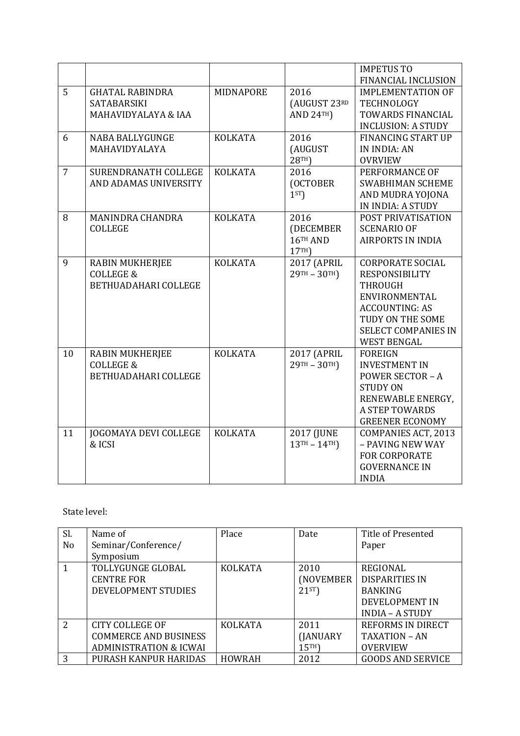|                |                        |                |                                           | <b>IMPETUS TO</b>          |
|----------------|------------------------|----------------|-------------------------------------------|----------------------------|
|                |                        |                |                                           | FINANCIAL INCLUSION        |
| 5              | <b>GHATAL RABINDRA</b> | MIDNAPORE      | 2016                                      | <b>IMPLEMENTATION OF</b>   |
|                | <b>SATABARSIKI</b>     |                | (AUGUST 23RD                              | <b>TECHNOLOGY</b>          |
|                | MAHAVIDYALAYA & IAA    |                | AND $24TH$                                | TOWARDS FINANCIAL          |
|                |                        |                |                                           | <b>INCLUSION: A STUDY</b>  |
| 6              | <b>NABA BALLYGUNGE</b> | <b>KOLKATA</b> | 2016                                      | <b>FINANCING START UP</b>  |
|                | MAHAVIDYALAYA          |                | (AUGUST                                   | <b>IN INDIA: AN</b>        |
|                |                        |                | 28TH)                                     | <b>OVRVIEW</b>             |
| $\overline{7}$ | SURENDRANATH COLLEGE   | <b>KOLKATA</b> | 2016                                      | PERFORMANCE OF             |
|                | AND ADAMAS UNIVERSITY  |                | (OCTOBER                                  | <b>SWABHIMAN SCHEME</b>    |
|                |                        |                | 1 <sup>ST</sup>                           | AND MUDRA YOJONA           |
|                |                        |                |                                           | IN INDIA: A STUDY          |
| 8              | MANINDRA CHANDRA       | <b>KOLKATA</b> | 2016                                      | POST PRIVATISATION         |
|                | <b>COLLEGE</b>         |                | (DECEMBER                                 | <b>SCENARIO OF</b>         |
|                |                        |                | 16TH AND                                  | <b>AIRPORTS IN INDIA</b>   |
|                |                        |                | 17TH                                      |                            |
| 9              | <b>RABIN MUKHERJEE</b> | <b>KOLKATA</b> | 2017 (APRIL                               | <b>CORPORATE SOCIAL</b>    |
|                | <b>COLLEGE &amp;</b>   |                | $29$ <sup>TH</sup> - $30$ <sup>TH</sup> ) | <b>RESPONSIBILITY</b>      |
|                | BETHUADAHARI COLLEGE   |                |                                           | <b>THROUGH</b>             |
|                |                        |                |                                           | ENVIRONMENTAL              |
|                |                        |                |                                           | <b>ACCOUNTING: AS</b>      |
|                |                        |                |                                           | TUDY ON THE SOME           |
|                |                        |                |                                           | <b>SELECT COMPANIES IN</b> |
|                |                        |                |                                           | <b>WEST BENGAL</b>         |
| 10             | <b>RABIN MUKHERJEE</b> | <b>KOLKATA</b> | 2017 (APRIL                               | <b>FOREIGN</b>             |
|                | <b>COLLEGE &amp;</b>   |                | $29$ <sup>TH</sup> - $30$ <sup>TH</sup> ) | <b>INVESTMENT IN</b>       |
|                | BETHUADAHARI COLLEGE   |                |                                           | <b>POWER SECTOR - A</b>    |
|                |                        |                |                                           | <b>STUDY ON</b>            |
|                |                        |                |                                           | RENEWABLE ENERGY,          |
|                |                        |                |                                           | <b>A STEP TOWARDS</b>      |
|                |                        |                |                                           | <b>GREENER ECONOMY</b>     |
| 11             | JOGOMAYA DEVI COLLEGE  | <b>KOLKATA</b> | 2017 (JUNE                                | COMPANIES ACT, 2013        |
|                | & ICSI                 |                | $13^{TH} - 14^{TH}$                       | - PAVING NEW WAY           |
|                |                        |                |                                           | <b>FOR CORPORATE</b>       |
|                |                        |                |                                           | <b>GOVERNANCE IN</b>       |
|                |                        |                |                                           | <b>INDIA</b>               |

### State level:

| Sl.            | Name of                           | Place          | Date             | Title of Presented       |
|----------------|-----------------------------------|----------------|------------------|--------------------------|
| N <sub>0</sub> | Seminar/Conference/               |                |                  | Paper                    |
|                | Symposium                         |                |                  |                          |
|                | TOLLYGUNGE GLOBAL                 | <b>KOLKATA</b> | 2010             | <b>REGIONAL</b>          |
|                | <b>CENTRE FOR</b>                 |                | (NOVEMBER        | <b>DISPARITIES IN</b>    |
|                | DEVELOPMENT STUDIES               |                | $21^{ST}$        | <b>BANKING</b>           |
|                |                                   |                |                  | DEVELOPMENT IN           |
|                |                                   |                |                  | <b>INDIA - A STUDY</b>   |
| $\overline{2}$ | CITY COLLEGE OF                   | <b>KOLKATA</b> | 2011             | REFORMS IN DIRECT        |
|                | <b>COMMERCE AND BUSINESS</b>      |                | (JANUARY         | TAXATION - AN            |
|                | <b>ADMINISTRATION &amp; ICWAI</b> |                | 15 <sup>TH</sup> | <b>OVERVIEW</b>          |
| 3              | PURASH KANPUR HARIDAS             | <b>HOWRAH</b>  | 2012             | <b>GOODS AND SERVICE</b> |